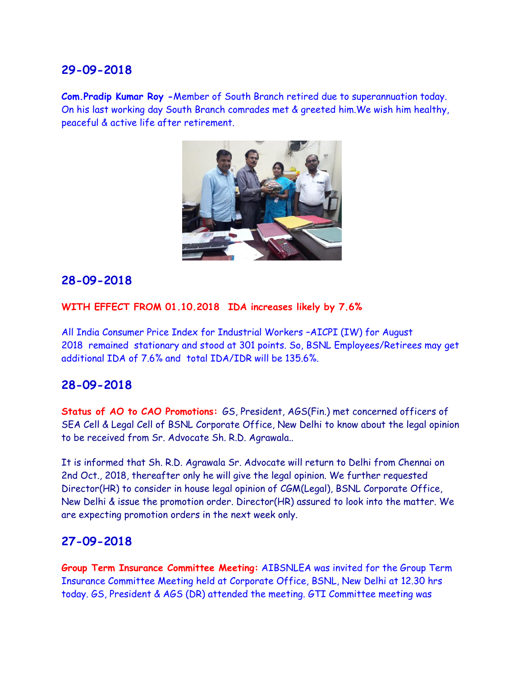**Com.Pradip Kumar Roy -**Member of South Branch retired due to superannuation today. On his last working day South Branch comrades met & greeted him.We wish him healthy, peaceful & active life after retirement.



### **28-09-2018**

#### **WITH EFFECT FROM 01.10.2018 IDA increases likely by 7.6%**

All India Consumer Price Index for Industrial Workers –AICPI (IW) for August 2018 remained stationary and stood at 301 points. So, BSNL Employees/Retirees may get additional IDA of 7.6% and total IDA/IDR will be 135.6%.

#### **28-09-2018**

**Status of AO to CAO Promotions:** GS, President, AGS(Fin.) met concerned officers of SEA Cell & Legal Cell of BSNL Corporate Office, New Delhi to know about the legal opinion to be received from Sr. Advocate Sh. R.D. Agrawala..

It is informed that Sh. R.D. Agrawala Sr. Advocate will return to Delhi from Chennai on 2nd Oct., 2018, thereafter only he will give the legal opinion. We further requested Director(HR) to consider in house legal opinion of CGM(Legal), BSNL Corporate Office, New Delhi & issue the promotion order. Director(HR) assured to look into the matter. We are expecting promotion orders in the next week only.

#### **27-09-2018**

**Group Term Insurance Committee Meeting:** AIBSNLEA was invited for the Group Term Insurance Committee Meeting held at Corporate Office, BSNL, New Delhi at 12.30 hrs today. GS, President & AGS (DR) attended the meeting. GTI Committee meeting was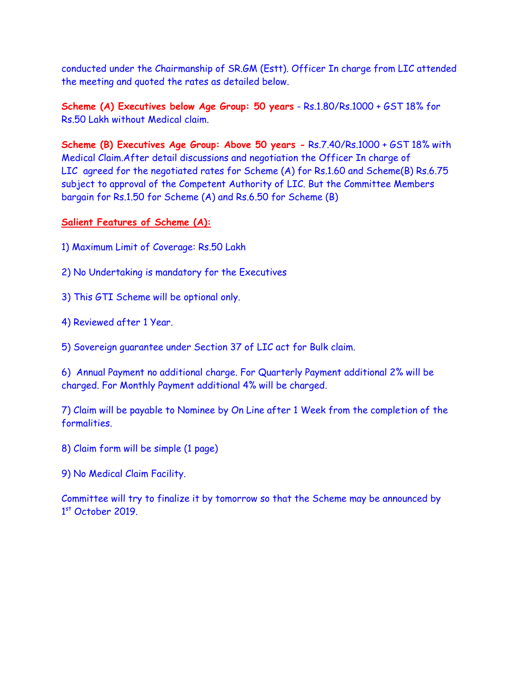conducted under the Chairmanship of SR.GM (Estt). Officer In charge from LIC attended the meeting and quoted the rates as detailed below.

**Scheme (A) Executives below Age Group: 50 years** - Rs.1.80/Rs.1000 + GST 18% for Rs.50 Lakh without Medical claim.

**Scheme (B) Executives Age Group: Above 50 years -** Rs.7.40/Rs.1000 + GST 18% with Medical Claim.After detail discussions and negotiation the Officer In charge of LIC agreed for the negotiated rates for Scheme (A) for Rs.1.60 and Scheme(B) Rs.6.75 subject to approval of the Competent Authority of LIC. But the Committee Members bargain for Rs.1.50 for Scheme (A) and Rs.6.50 for Scheme (B)

#### **Salient Features of Scheme (A):**

- 1) Maximum Limit of Coverage: Rs.50 Lakh
- 2) No Undertaking is mandatory for the Executives
- 3) This GTI Scheme will be optional only.
- 4) Reviewed after 1 Year.
- 5) Sovereign guarantee under Section 37 of LIC act for Bulk claim.

6) Annual Payment no additional charge. For Quarterly Payment additional 2% will be charged. For Monthly Payment additional 4% will be charged.

7) Claim will be payable to Nominee by On Line after 1 Week from the completion of the formalities.

- 8) Claim form will be simple (1 page)
- 9) No Medical Claim Facility.

Committee will try to finalize it by tomorrow so that the Scheme may be announced by 1<sup>st</sup> October 2019.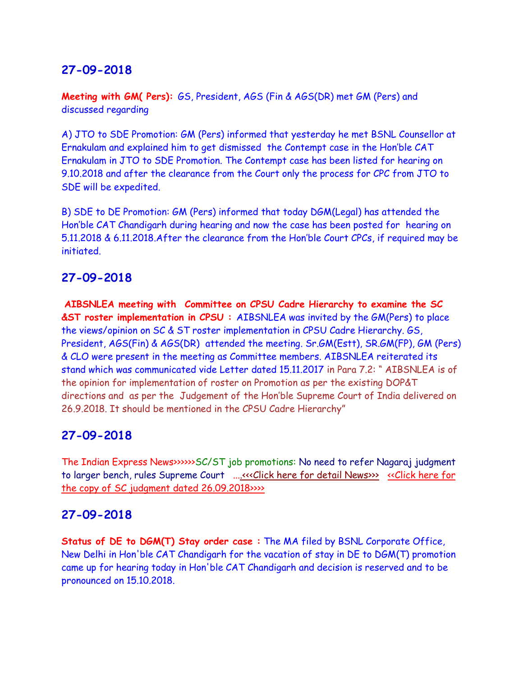**Meeting with GM( Pers):** GS, President, AGS (Fin & AGS(DR) met GM (Pers) and discussed regarding

A) JTO to SDE Promotion: GM (Pers) informed that yesterday he met BSNL Counsellor at Ernakulam and explained him to get dismissed the Contempt case in the Hon'ble CAT Ernakulam in JTO to SDE Promotion. The Contempt case has been listed for hearing on 9.10.2018 and after the clearance from the Court only the process for CPC from JTO to SDE will be expedited.

B) SDE to DE Promotion: GM (Pers) informed that today DGM(Legal) has attended the Hon'ble CAT Chandigarh during hearing and now the case has been posted for hearing on 5.11.2018 & 6.11.2018.After the clearance from the Hon'ble Court CPCs, if required may be initiated.

# **27-09-2018**

**AIBSNLEA meeting with Committee on CPSU Cadre Hierarchy to examine the SC &ST roster implementation in CPSU :** AIBSNLEA was invited by the GM(Pers) to place the views/opinion on SC & ST roster implementation in CPSU Cadre Hierarchy. GS, President, AGS(Fin) & AGS(DR) attended the meeting. Sr.GM(Estt), SR.GM(FP), GM (Pers) & CLO were present in the meeting as Committee members. AIBSNLEA reiterated its stand which was communicated vide Letter dated 15.11.2017 in Para 7.2: " AIBSNLEA is of the opinion for implementation of roster on Promotion as per the existing DOP&T directions and as per the Judgement of the Hon'ble Supreme Court of India delivered on 26.9.2018. It should be mentioned in the CPSU Cadre Hierarchy"

# **27-09-2018**

The Indian Express News>>>>>>SC/ST job promotions: No need to refer Nagaraj judgment to larger bench, rules Supreme Court ..[..<<<Click here for detail News>>>](https://indianexpress.com/article/india/supreme-court-nagaraj-judgment-reservation-in-job-promotions-st-sc-5374624/) [<<Click here for](http://www.aibsnleachq.in/34614_2011_Judgement_26-Sep-2018.pdf)  [the copy of SC judgment dated 26.09.2018>>>>](http://www.aibsnleachq.in/34614_2011_Judgement_26-Sep-2018.pdf)

# **27-09-2018**

**Status of DE to DGM(T) Stay order case :** The MA filed by BSNL Corporate Office, New Delhi in Hon'ble CAT Chandigarh for the vacation of stay in DE to DGM(T) promotion came up for hearing today in Hon'ble CAT Chandigarh and decision is reserved and to be pronounced on 15.10.2018.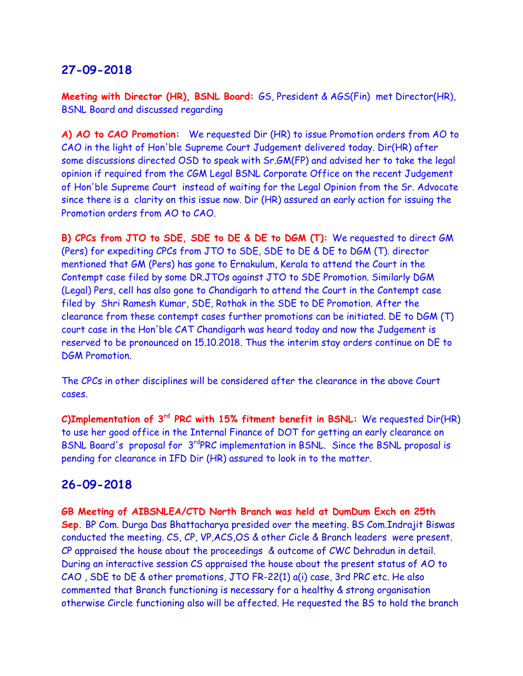**Meeting with Director (HR), BSNL Board:** GS, President & AGS(Fin) met Director(HR), BSNL Board and discussed regarding

**A) AO to CAO Promotion:** We requested Dir (HR) to issue Promotion orders from AO to CAO in the light of Hon'ble Supreme Court Judgement delivered today. Dir(HR) after some discussions directed OSD to speak with Sr.GM(FP) and advised her to take the legal opinion if required from the CGM Legal BSNL Corporate Office on the recent Judgement of Hon'ble Supreme Court instead of waiting for the Legal Opinion from the Sr. Advocate since there is a clarity on this issue now. Dir (HR) assured an early action for issuing the Promotion orders from AO to CAO.

**B) CPCs from JTO to SDE, SDE to DE & DE to DGM (T):** We requested to direct GM (Pers) for expediting CPCs from JTO to SDE, SDE to DE & DE to DGM (T). director mentioned that GM (Pers) has gone to Ernakulum, Kerala to attend the Court in the Contempt case filed by some DR.JTOs against JTO to SDE Promotion. Similarly DGM (Legal) Pers, cell has also gone to Chandigarh to attend the Court in the Contempt case filed by Shri Ramesh Kumar, SDE, Rothak in the SDE to DE Promotion. After the clearance from these contempt cases further promotions can be initiated. DE to DGM (T) court case in the Hon'ble CAT Chandigarh was heard today and now the Judgement is reserved to be pronounced on 15.10.2018. Thus the interim stay orders continue on DE to DGM Promotion.

The CPCs in other disciplines will be considered after the clearance in the above Court cases.

**C)Implementation of 3rd PRC with 15% fitment benefit in BSNL:** We requested Dir(HR) to use her good office in the Internal Finance of DOT for getting an early clearance on BSNL Board's proposal for 3<sup>rd</sup>PRC implementation in BSNL. Since the BSNL proposal is pending for clearance in IFD Dir (HR) assured to look in to the matter.

#### **26-09-2018**

**GB Meeting of AIBSNLEA/CTD North Branch was held at DumDum Exch on 25th Sep.** BP Com. Durga Das Bhattacharya presided over the meeting. BS Com.Indrajit Biswas conducted the meeting. CS, CP, VP,ACS,OS & other Cicle & Branch leaders were present. CP appraised the house about the proceedings & outcome of CWC Dehradun in detail. During an interactive session CS appraised the house about the present status of AO to CAO , SDE to DE & other promotions, JTO FR-22(1) a(i) case, 3rd PRC etc. He also commented that Branch functioning is necessary for a healthy & strong organisation otherwise Circle functioning also will be affected. He requested the BS to hold the branch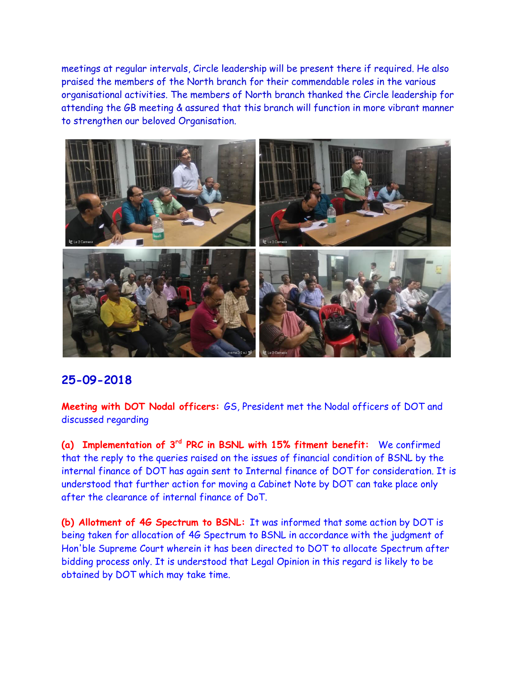meetings at regular intervals, Circle leadership will be present there if required. He also praised the members of the North branch for their commendable roles in the various organisational activities. The members of North branch thanked the Circle leadership for attending the GB meeting & assured that this branch will function in more vibrant manner to strengthen our beloved Organisation.



# **25-09-2018**

**Meeting with DOT Nodal officers:** GS, President met the Nodal officers of DOT and discussed regarding

**(a) Implementation of 3rd PRC in BSNL with 15% fitment benefit:** We confirmed that the reply to the queries raised on the issues of financial condition of BSNL by the internal finance of DOT has again sent to Internal finance of DOT for consideration. It is understood that further action for moving a Cabinet Note by DOT can take place only after the clearance of internal finance of DoT.

**(b) Allotment of 4G Spectrum to BSNL:** It was informed that some action by DOT is being taken for allocation of 4G Spectrum to BSNL in accordance with the judgment of Hon'ble Supreme Court wherein it has been directed to DOT to allocate Spectrum after bidding process only. It is understood that Legal Opinion in this regard is likely to be obtained by DOT which may take time.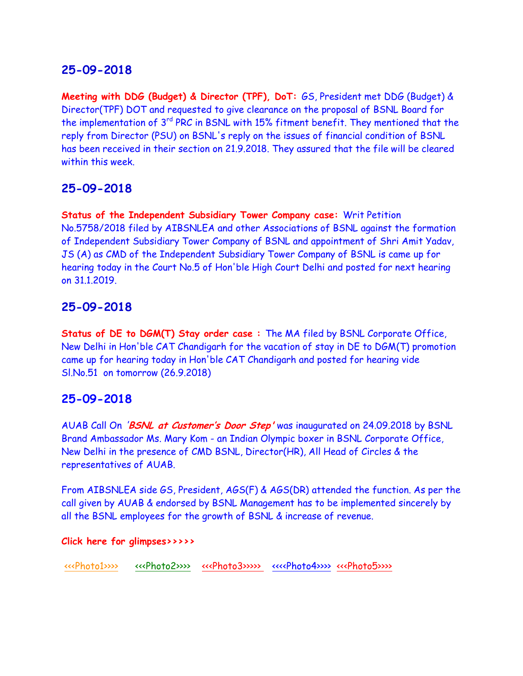**Meeting with DDG (Budget) & Director (TPF), DoT:** GS, President met DDG (Budget) & Director(TPF) DOT and requested to give clearance on the proposal of BSNL Board for the implementation of 3<sup>rd</sup> PRC in BSNL with 15% fitment benefit. They mentioned that the reply from Director (PSU) on BSNL's reply on the issues of financial condition of BSNL has been received in their section on 21.9.2018. They assured that the file will be cleared within this week.

# **25-09-2018**

**Status of the Independent Subsidiary Tower Company case:** Writ Petition No.5758/2018 filed by AIBSNLEA and other Associations of BSNL against the formation of Independent Subsidiary Tower Company of BSNL and appointment of Shri Amit Yadav, JS (A) as CMD of the Independent Subsidiary Tower Company of BSNL is came up for hearing today in the Court No.5 of Hon'ble High Court Delhi and posted for next hearing on 31.1.2019.

# **25-09-2018**

**Status of DE to DGM(T) Stay order case :** The MA filed by BSNL Corporate Office, New Delhi in Hon'ble CAT Chandigarh for the vacation of stay in DE to DGM(T) promotion came up for hearing today in Hon'ble CAT Chandigarh and posted for hearing vide Sl.No.51 on tomorrow (26.9.2018)

# **25-09-2018**

AUAB Call On '**BSNL at Customer's Door Step'** was inaugurated on 24.09.2018 by BSNL Brand Ambassador Ms. Mary Kom - an Indian Olympic boxer in BSNL Corporate Office, New Delhi in the presence of CMD BSNL, Director(HR), All Head of Circles & the representatives of AUAB.

From AIBSNLEA side GS, President, AGS(F) & AGS(DR) attended the function. As per the call given by AUAB & endorsed by BSNL Management has to be implemented sincerely by all the BSNL employees for the growth of BSNL & increase of revenue.

#### **Click here for glimpses>>>>>**

[<<<Photo1>>>>](http://www.aibsnleachq.in/1st.jpg) <<<Photo2>>>>>>>> <<<Photo3>>>>>>>>> <<<Photo4>>>> [<<<Photo5>>>>](http://www.aibsnleachq.in/4.jpg)>>>>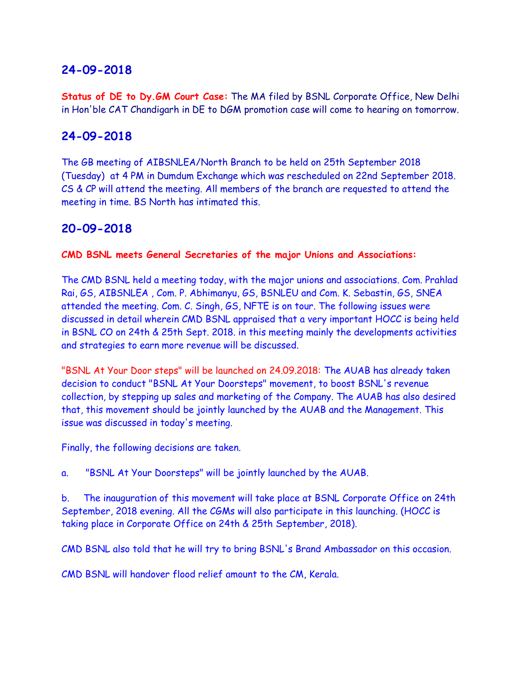**Status of DE to Dy.GM Court Case:** The MA filed by BSNL Corporate Office, New Delhi in Hon'ble CAT Chandigarh in DE to DGM promotion case will come to hearing on tomorrow.

# **24-09-2018**

The GB meeting of AIBSNLEA/North Branch to be held on 25th September 2018 (Tuesday) at 4 PM in Dumdum Exchange which was rescheduled on 22nd September 2018. CS & CP will attend the meeting. All members of the branch are requested to attend the meeting in time. BS North has intimated this.

# **20-09-2018**

#### **CMD BSNL meets General Secretaries of the major Unions and Associations:**

The CMD BSNL held a meeting today, with the major unions and associations. Com. Prahlad Rai, GS, AIBSNLEA , Com. P. Abhimanyu, GS, BSNLEU and Com. K. Sebastin, GS, SNEA attended the meeting. Com. C. Singh, GS, NFTE is on tour. The following issues were discussed in detail wherein CMD BSNL appraised that a very important HOCC is being held in BSNL CO on 24th & 25th Sept. 2018. in this meeting mainly the developments activities and strategies to earn more revenue will be discussed.

"BSNL At Your Door steps" will be launched on 24.09.2018: The AUAB has already taken decision to conduct "BSNL At Your Doorsteps" movement, to boost BSNL's revenue collection, by stepping up sales and marketing of the Company. The AUAB has also desired that, this movement should be jointly launched by the AUAB and the Management. This issue was discussed in today's meeting.

Finally, the following decisions are taken.

a. "BSNL At Your Doorsteps" will be jointly launched by the AUAB.

b. The inauguration of this movement will take place at BSNL Corporate Office on 24th September, 2018 evening. All the CGMs will also participate in this launching. (HOCC is taking place in Corporate Office on 24th & 25th September, 2018).

CMD BSNL also told that he will try to bring BSNL's Brand Ambassador on this occasion.

CMD BSNL will handover flood relief amount to the CM, Kerala.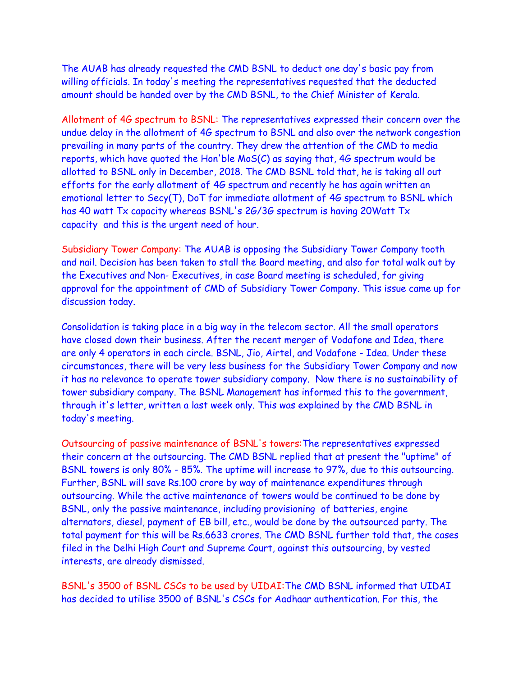The AUAB has already requested the CMD BSNL to deduct one day's basic pay from willing officials. In today's meeting the representatives requested that the deducted amount should be handed over by the CMD BSNL, to the Chief Minister of Kerala.

Allotment of 4G spectrum to BSNL: The representatives expressed their concern over the undue delay in the allotment of 4G spectrum to BSNL and also over the network congestion prevailing in many parts of the country. They drew the attention of the CMD to media reports, which have quoted the Hon'ble MoS(C) as saying that, 4G spectrum would be allotted to BSNL only in December, 2018. The CMD BSNL told that, he is taking all out efforts for the early allotment of 4G spectrum and recently he has again written an emotional letter to Secy(T), DoT for immediate allotment of 4G spectrum to BSNL which has 40 watt Tx capacity whereas BSNL's 2G/3G spectrum is having 20Watt Tx capacity and this is the urgent need of hour.

Subsidiary Tower Company: The AUAB is opposing the Subsidiary Tower Company tooth and nail. Decision has been taken to stall the Board meeting, and also for total walk out by the Executives and Non- Executives, in case Board meeting is scheduled, for giving approval for the appointment of CMD of Subsidiary Tower Company. This issue came up for discussion today.

Consolidation is taking place in a big way in the telecom sector. All the small operators have closed down their business. After the recent merger of Vodafone and Idea, there are only 4 operators in each circle. BSNL, Jio, Airtel, and Vodafone - Idea. Under these circumstances, there will be very less business for the Subsidiary Tower Company and now it has no relevance to operate tower subsidiary company. Now there is no sustainability of tower subsidiary company. The BSNL Management has informed this to the government, through it's letter, written a last week only. This was explained by the CMD BSNL in today's meeting.

Outsourcing of passive maintenance of BSNL's towers:The representatives expressed their concern at the outsourcing. The CMD BSNL replied that at present the "uptime" of BSNL towers is only 80% - 85%. The uptime will increase to 97%, due to this outsourcing. Further, BSNL will save Rs.100 crore by way of maintenance expenditures through outsourcing. While the active maintenance of towers would be continued to be done by BSNL, only the passive maintenance, including provisioning of batteries, engine alternators, diesel, payment of EB bill, etc., would be done by the outsourced party. The total payment for this will be Rs.6633 crores. The CMD BSNL further told that, the cases filed in the Delhi High Court and Supreme Court, against this outsourcing, by vested interests, are already dismissed.

BSNL's 3500 of BSNL CSCs to be used by UIDAI:The CMD BSNL informed that UIDAI has decided to utilise 3500 of BSNL's CSCs for Aadhaar authentication. For this, the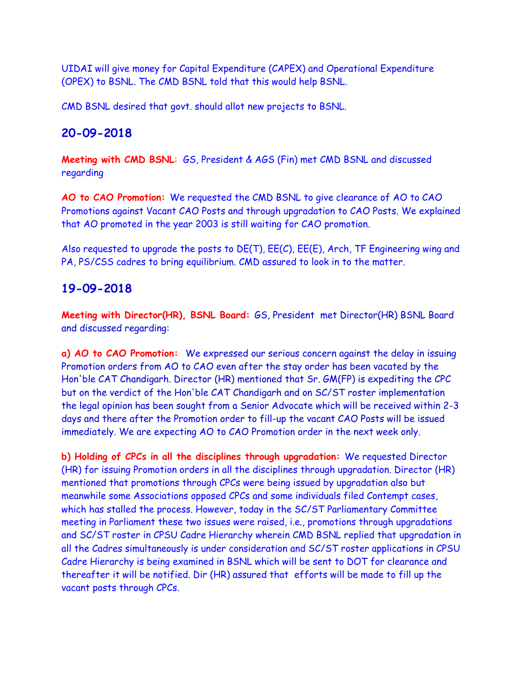UIDAI will give money for Capital Expenditure (CAPEX) and Operational Expenditure (OPEX) to BSNL. The CMD BSNL told that this would help BSNL.

CMD BSNL desired that govt. should allot new projects to BSNL.

### **20-09-2018**

**Meeting with CMD BSNL**: GS, President & AGS (Fin) met CMD BSNL and discussed regarding

**AO to CAO Promotion:** We requested the CMD BSNL to give clearance of AO to CAO Promotions against Vacant CAO Posts and through upgradation to CAO Posts. We explained that AO promoted in the year 2003 is still waiting for CAO promotion.

Also requested to upgrade the posts to DE(T), EE(C), EE(E), Arch, TF Engineering wing and PA, PS/CSS cadres to bring equilibrium. CMD assured to look in to the matter.

# **19-09-2018**

**Meeting with Director(HR), BSNL Board:** GS, President met Director(HR) BSNL Board and discussed regarding:

**a) AO to CAO Promotion:** We expressed our serious concern against the delay in issuing Promotion orders from AO to CAO even after the stay order has been vacated by the Hon'ble CAT Chandigarh. Director (HR) mentioned that Sr. GM(FP) is expediting the CPC but on the verdict of the Hon'ble CAT Chandigarh and on SC/ST roster implementation the legal opinion has been sought from a Senior Advocate which will be received within 2-3 days and there after the Promotion order to fill-up the vacant CAO Posts will be issued immediately. We are expecting AO to CAO Promotion order in the next week only.

**b) Holding of CPCs in all the disciplines through upgradation:** We requested Director (HR) for issuing Promotion orders in all the disciplines through upgradation. Director (HR) mentioned that promotions through CPCs were being issued by upgradation also but meanwhile some Associations opposed CPCs and some individuals filed Contempt cases, which has stalled the process. However, today in the SC/ST Parliamentary Committee meeting in Parliament these two issues were raised, i.e., promotions through upgradations and SC/ST roster in CPSU Cadre Hierarchy wherein CMD BSNL replied that upgradation in all the Cadres simultaneously is under consideration and SC/ST roster applications in CPSU Cadre Hierarchy is being examined in BSNL which will be sent to DOT for clearance and thereafter it will be notified. Dir (HR) assured that efforts will be made to fill up the vacant posts through CPCs.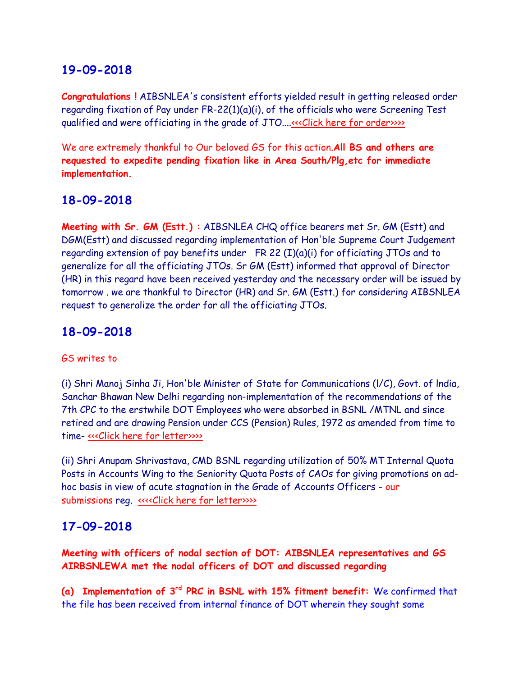**Congratulations !** AIBSNLEA's consistent efforts yielded result in getting released order regarding fixation of Pay under FR-22(1)(a)(i), of the officials who were Screening Test qualified and were officiating in the grade of JTO...[.<<<Click here for order>>>>](http://www.aibsnleachq.in/fixationofpayfr221a1JTOO18092018.pdf)>>>>>

We are extremely thankful to Our beloved GS for this action.**All BS and others are requested to expedite pending fixation like in Area South/Plg,etc for immediate implementation.**

# **18-09-2018**

**Meeting with Sr. GM (Estt.) :** AIBSNLEA CHQ office bearers met Sr. GM (Estt) and DGM(Estt) and discussed regarding implementation of Hon'ble Supreme Court Judgement regarding extension of pay benefits under FR 22 (I)(a)(i) for officiating JTOs and to generalize for all the officiating JTOs. Sr GM (Estt) informed that approval of Director (HR) in this regard have been received yesterday and the necessary order will be issued by tomorrow . we are thankful to Director (HR) and Sr. GM (Estt.) for considering AIBSNLEA request to generalize the order for all the officiating JTOs.

### **18-09-2018**

#### GS writes to

(i) Shri Manoj Sinha Ji, Hon'ble Minister of State for Communications (l/C), Govt. of lndia, Sanchar Bhawan New Delhi regarding non-implementation of the recommendations of the 7th CPC to the erstwhile DOT Employees who were absorbed in BSNL /MTNL and since retired and are drawing Pension under CCS (Pension) Rules, 1972 as amended from time to time- [<<<Click here for letter>>>>](http://www.aibsnleachq.in/MOS_180918.PDF)>

(ii) Shri Anupam Shrivastava, CMD BSNL regarding utilization of 50% MT Internal Quota Posts in Accounts Wing to the Seniority Quota Posts of CAOs for giving promotions on adhoc basis in view of acute stagnation in the Grade of Accounts Officers - our submissions reg. [<<<<Click here for letter>>>>](http://www.aibsnleachq.in/CMD_180918.PDF)

#### **17-09-2018**

**Meeting with officers of nodal section of DOT: AIBSNLEA representatives and GS AIRBSNLEWA met the nodal officers of DOT and discussed regarding**

**(a) Implementation of 3rd PRC in BSNL with 15% fitment benefit:** We confirmed that the file has been received from internal finance of DOT wherein they sought some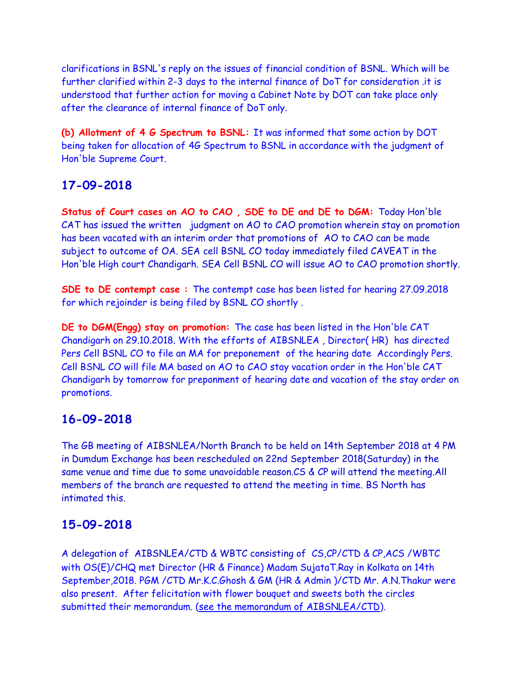clarifications in BSNL's reply on the issues of financial condition of BSNL. Which will be further clarified within 2-3 days to the internal finance of DoT for consideration .it is understood that further action for moving a Cabinet Note by DOT can take place only after the clearance of internal finance of DoT only.

**(b) Allotment of 4 G Spectrum to BSNL:** It was informed that some action by DOT being taken for allocation of 4G Spectrum to BSNL in accordance with the judgment of Hon'ble Supreme Court.

# **17-09-2018**

**Status of Court cases on AO to CAO , SDE to DE and DE to DGM:** Today Hon'ble CAT has issued the written judgment on AO to CAO promotion wherein stay on promotion has been vacated with an interim order that promotions of AO to CAO can be made subject to outcome of OA. SEA cell BSNL CO today immediately filed CAVEAT in the Hon'ble High court Chandigarh. SEA Cell BSNL CO will issue AO to CAO promotion shortly.

**SDE to DE contempt case :** The contempt case has been listed for hearing 27.09.2018 for which rejoinder is being filed by BSNL CO shortly .

**DE to DGM(Engg) stay on promotion:** The case has been listed in the Hon'ble CAT Chandigarh on 29.10.2018. With the efforts of AIBSNLEA , Director( HR) has directed Pers Cell BSNL CO to file an MA for preponement of the hearing date Accordingly Pers. Cell BSNL CO will file MA based on AO to CAO stay vacation order in the Hon'ble CAT Chandigarh by tomorrow for preponment of hearing date and vacation of the stay order on promotions.

# **16-09-2018**

The GB meeting of AIBSNLEA/North Branch to be held on 14th September 2018 at 4 PM in Dumdum Exchange has been rescheduled on 22nd September 2018(Saturday) in the same venue and time due to some unavoidable reason.CS & CP will attend the meeting.All members of the branch are requested to attend the meeting in time. BS North has intimated this.

# **15-09-2018**

A delegation of AIBSNLEA/CTD & WBTC consisting of CS,CP/CTD & CP,ACS /WBTC with OS(E)/CHQ met Director (HR & Finance) Madam SujataT.Ray in Kolkata on 14th September,2018. PGM /CTD Mr.K.C.Ghosh & GM (HR & Admin )/CTD Mr. A.N.Thakur were also present. After felicitation with flower bouquet and sweets both the circles submitted their memorandum. [\(see the memorandum of AIBSNLEA/CTD\)](http://aibsnleawb.org/Dir%20HR%20140918.pdf).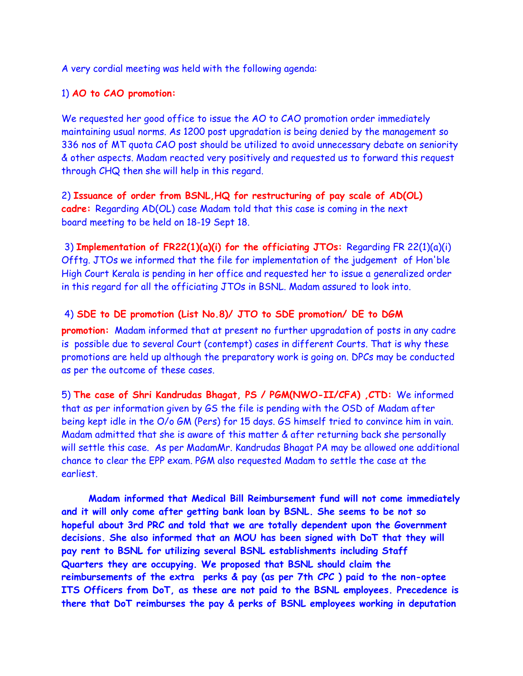A very cordial meeting was held with the following agenda:

#### 1) **AO to CAO promotion:**

We requested her good office to issue the AO to CAO promotion order immediately maintaining usual norms. As 1200 post upgradation is being denied by the management so 336 nos of MT quota CAO post should be utilized to avoid unnecessary debate on seniority & other aspects. Madam reacted very positively and requested us to forward this request through CHQ then she will help in this regard.

2) **Issuance of order from BSNL,HQ for restructuring of pay scale of AD(OL) cadre:** Regarding AD(OL) case Madam told that this case is coming in the next board meeting to be held on 18-19 Sept 18.

3) **Implementation of FR22(1)(a)(i) for the officiating JTOs:** Regarding FR 22(1)(a)(i) Offtg. JTOs we informed that the file for implementation of the judgement of Hon'ble High Court Kerala is pending in her office and requested her to issue a generalized order in this regard for all the officiating JTOs in BSNL. Madam assured to look into.

#### 4) **SDE to DE promotion (List No.8)/ JTO to SDE promotion/ DE to DGM**

**promotion:** Madam informed that at present no further upgradation of posts in any cadre is possible due to several Court (contempt) cases in different Courts. That is why these promotions are held up although the preparatory work is going on. DPCs may be conducted as per the outcome of these cases.

5) **The case of Shri Kandrudas Bhagat, PS / PGM(NWO-II/CFA) ,CTD:** We informed that as per information given by GS the file is pending with the OSD of Madam after being kept idle in the O/o GM (Pers) for 15 days. GS himself tried to convince him in vain. Madam admitted that she is aware of this matter & after returning back she personally will settle this case. As per MadamMr. Kandrudas Bhagat PA may be allowed one additional chance to clear the EPP exam. PGM also requested Madam to settle the case at the earliest.

 **Madam informed that Medical Bill Reimbursement fund will not come immediately and it will only come after getting bank loan by BSNL. She seems to be not so hopeful about 3rd PRC and told that we are totally dependent upon the Government decisions. She also informed that an MOU has been signed with DoT that they will pay rent to BSNL for utilizing several BSNL establishments including Staff Quarters they are occupying. We proposed that BSNL should claim the reimbursements of the extra perks & pay (as per 7th CPC ) paid to the non-optee ITS Officers from DoT, as these are not paid to the BSNL employees. Precedence is there that DoT reimburses the pay & perks of BSNL employees working in deputation**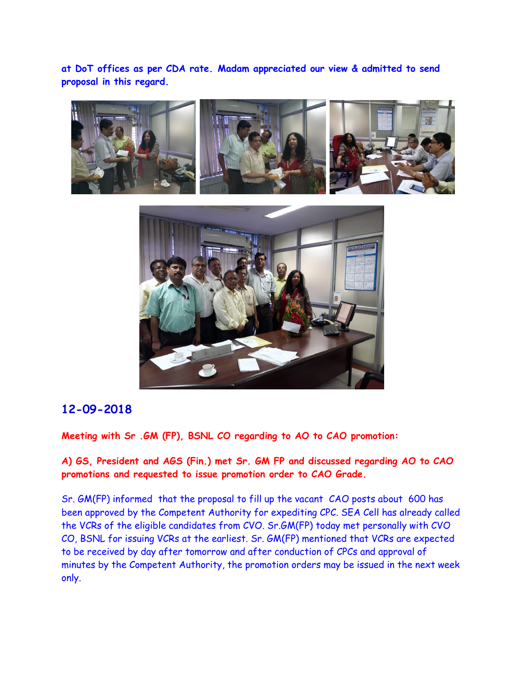**at DoT offices as per CDA rate. Madam appreciated our view & admitted to send proposal in this regard.**





# **12-09-2018**

**Meeting with Sr .GM (FP), BSNL CO regarding to AO to CAO promotion:** 

**A) GS, President and AGS (Fin.) met Sr. GM FP and discussed regarding AO to CAO promotions and requested to issue promotion order to CAO Grade.**

Sr. GM(FP) informed that the proposal to fill up the vacant CAO posts about 600 has been approved by the Competent Authority for expediting CPC. SEA Cell has already called the VCRs of the eligible candidates from CVO. Sr.GM(FP) today met personally with CVO CO, BSNL for issuing VCRs at the earliest. Sr. GM(FP) mentioned that VCRs are expected to be received by day after tomorrow and after conduction of CPCs and approval of minutes by the Competent Authority, the promotion orders may be issued in the next week only.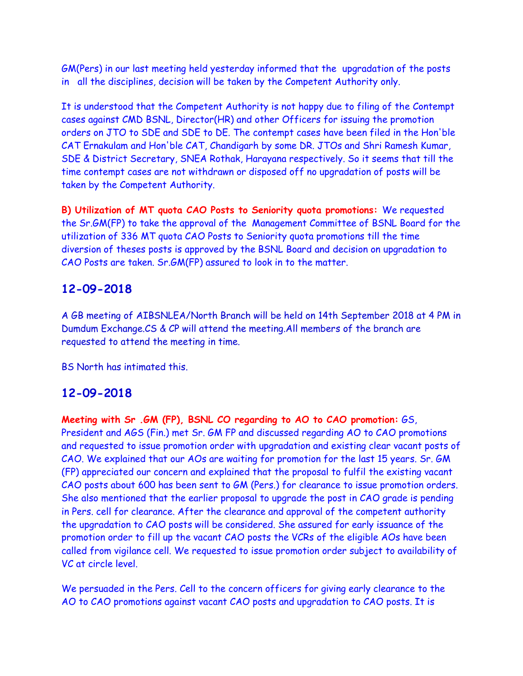GM(Pers) in our last meeting held yesterday informed that the upgradation of the posts in all the disciplines, decision will be taken by the Competent Authority only.

It is understood that the Competent Authority is not happy due to filing of the Contempt cases against CMD BSNL, Director(HR) and other Officers for issuing the promotion orders on JTO to SDE and SDE to DE. The contempt cases have been filed in the Hon'ble CAT Ernakulam and Hon'ble CAT, Chandigarh by some DR. JTOs and Shri Ramesh Kumar, SDE & District Secretary, SNEA Rothak, Harayana respectively. So it seems that till the time contempt cases are not withdrawn or disposed off no upgradation of posts will be taken by the Competent Authority.

**B) Utilization of MT quota CAO Posts to Seniority quota promotions:** We requested the Sr.GM(FP) to take the approval of the Management Committee of BSNL Board for the utilization of 336 MT quota CAO Posts to Seniority quota promotions till the time diversion of theses posts is approved by the BSNL Board and decision on upgradation to CAO Posts are taken. Sr.GM(FP) assured to look in to the matter.

# **12-09-2018**

A GB meeting of AIBSNLEA/North Branch will be held on 14th September 2018 at 4 PM in Dumdum Exchange.CS & CP will attend the meeting.All members of the branch are requested to attend the meeting in time.

BS North has intimated this.

# **12-09-2018**

**Meeting with Sr .GM (FP), BSNL CO regarding to AO to CAO promotion:** GS, President and AGS (Fin.) met Sr. GM FP and discussed regarding AO to CAO promotions and requested to issue promotion order with upgradation and existing clear vacant posts of CAO. We explained that our AOs are waiting for promotion for the last 15 years. Sr. GM (FP) appreciated our concern and explained that the proposal to fulfil the existing vacant CAO posts about 600 has been sent to GM (Pers.) for clearance to issue promotion orders. She also mentioned that the earlier proposal to upgrade the post in CAO grade is pending in Pers. cell for clearance. After the clearance and approval of the competent authority the upgradation to CAO posts will be considered. She assured for early issuance of the promotion order to fill up the vacant CAO posts the VCRs of the eligible AOs have been called from vigilance cell. We requested to issue promotion order subject to availability of VC at circle level.

We persuaded in the Pers. Cell to the concern officers for giving early clearance to the AO to CAO promotions against vacant CAO posts and upgradation to CAO posts. It is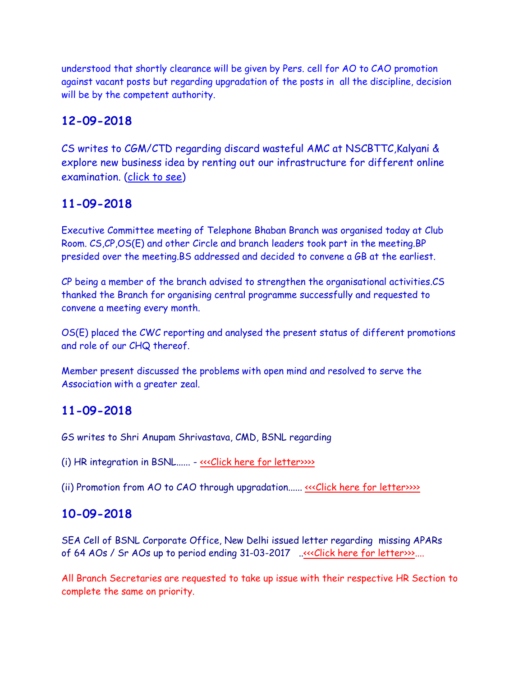understood that shortly clearance will be given by Pers. cell for AO to CAO promotion against vacant posts but regarding upgradation of the posts in all the discipline, decision will be by the competent authority.

# **12-09-2018**

CS writes to CGM/CTD regarding discard wasteful AMC at NSCBTTC,Kalyani & explore new business idea by renting out our infrastructure for different online examination. [\(click to see\)](http://aibsnleawb.org/cgm%20letter%201109.pdf)

# **11-09-2018**

Executive Committee meeting of Telephone Bhaban Branch was organised today at Club Room. CS,CP,OS(E) and other Circle and branch leaders took part in the meeting.BP presided over the meeting.BS addressed and decided to convene a GB at the earliest.

CP being a member of the branch advised to strengthen the organisational activities.CS thanked the Branch for organising central programme successfully and requested to convene a meeting every month.

OS(E) placed the CWC reporting and analysed the present status of different promotions and role of our CHQ thereof.

Member present discussed the problems with open mind and resolved to serve the Association with a greater zeal.

# **11-09-2018**

GS writes to Shri Anupam Shrivastava, CMD, BSNL regarding

(i) HR integration in BSNL...... - [<<<Click here for letter>>>>](http://www.aibsnleachq.in/CMD_180911.PDF)

(ii) Promotion from AO to CAO through upgradation...... «<< Click here for letter>>>>

# **10-09-2018**

SEA Cell of BSNL Corporate Office, New Delhi issued letter regarding missing APARs of 64 AOs / Sr AOs up to period ending 31-03-2017 ...<<<Click here for letter>>....

All Branch Secretaries are requested to take up issue with their respective HR Section to complete the same on priority.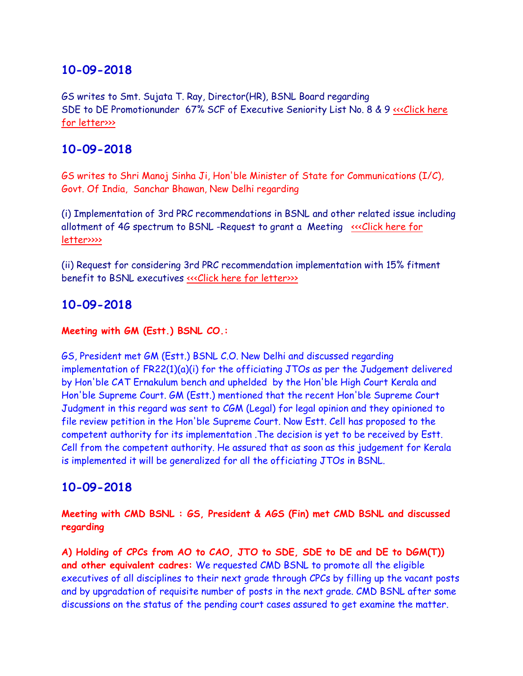GS writes to Smt. Sujata T. Ray, Director(HR), BSNL Board regarding SDE to DE Promotionunder 67% SCF of Executive Seniority List No. 8 & 9 <<< Click here [for letter>>>](http://www.aibsnleachq.in/Director%20HR_180910.PDF)

# **10-09-2018**

GS writes to Shri Manoj Sinha Ji, Hon'ble Minister of State for Communications (I/C), Govt. Of India, Sanchar Bhawan, New Delhi regarding

(i) Implementation of 3rd PRC recommendations in BSNL and other related issue including allotment of 4G spectrum to BSNL -Request to grant a Meeting [<<<Click here for](http://www.aibsnleachq.in/Monoj%20Sinha_180910.PDF)  [letter>>>>](http://www.aibsnleachq.in/Monoj%20Sinha_180910.PDF)

(ii) Request for considering 3rd PRC recommendation implementation with 15% fitment benefit to BSNL executives «<< Click here for letter>>>>

# **10-09-2018**

#### **Meeting with GM (Estt.) BSNL CO.:**

GS, President met GM (Estt.) BSNL C.O. New Delhi and discussed regarding implementation of FR22(1)(a)(i) for the officiating JTOs as per the Judgement delivered by Hon'ble CAT Ernakulum bench and uphelded by the Hon'ble High Court Kerala and Hon'ble Supreme Court. GM (Estt.) mentioned that the recent Hon'ble Supreme Court Judgment in this regard was sent to CGM (Legal) for legal opinion and they opinioned to file review petition in the Hon'ble Supreme Court. Now Estt. Cell has proposed to the competent authority for its implementation .The decision is yet to be received by Estt. Cell from the competent authority. He assured that as soon as this judgement for Kerala is implemented it will be generalized for all the officiating JTOs in BSNL.

# **10-09-2018**

**Meeting with CMD BSNL : GS, President & AGS (Fin) met CMD BSNL and discussed regarding**

**A) Holding of CPCs from AO to CAO, JTO to SDE, SDE to DE and DE to DGM(T)) and other equivalent cadres:** We requested CMD BSNL to promote all the eligible executives of all disciplines to their next grade through CPCs by filling up the vacant posts and by upgradation of requisite number of posts in the next grade. CMD BSNL after some discussions on the status of the pending court cases assured to get examine the matter.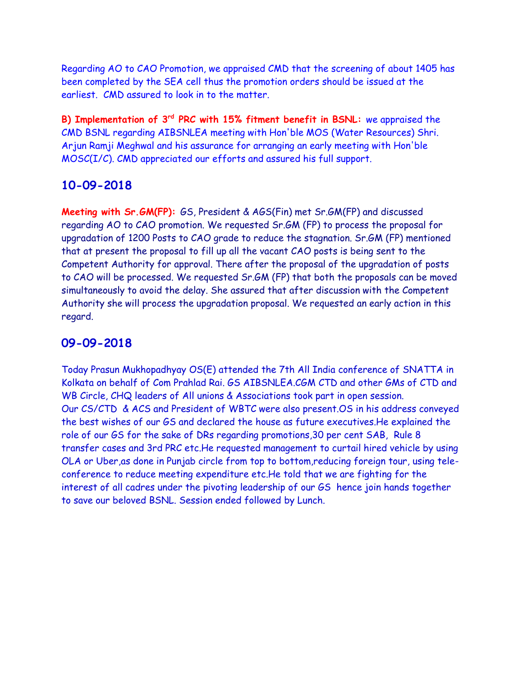Regarding AO to CAO Promotion, we appraised CMD that the screening of about 1405 has been completed by the SEA cell thus the promotion orders should be issued at the earliest. CMD assured to look in to the matter.

**B) Implementation of 3rd PRC with 15% fitment benefit in BSNL:** we appraised the CMD BSNL regarding AIBSNLEA meeting with Hon'ble MOS (Water Resources) Shri. Arjun Ramji Meghwal and his assurance for arranging an early meeting with Hon'ble MOSC(I/C). CMD appreciated our efforts and assured his full support.

# **10-09-2018**

**Meeting with Sr.GM(FP):** GS, President & AGS(Fin) met Sr.GM(FP) and discussed regarding AO to CAO promotion. We requested Sr.GM (FP) to process the proposal for upgradation of 1200 Posts to CAO grade to reduce the stagnation. Sr.GM (FP) mentioned that at present the proposal to fill up all the vacant CAO posts is being sent to the Competent Authority for approval. There after the proposal of the upgradation of posts to CAO will be processed. We requested Sr.GM (FP) that both the proposals can be moved simultaneously to avoid the delay. She assured that after discussion with the Competent Authority she will process the upgradation proposal. We requested an early action in this regard.

# **09-09-2018**

Today Prasun Mukhopadhyay OS(E) attended the 7th All India conference of SNATTA in Kolkata on behalf of Com Prahlad Rai. GS AIBSNLEA.CGM CTD and other GMs of CTD and WB Circle, CHQ leaders of All unions & Associations took part in open session. Our CS/CTD & ACS and President of WBTC were also present.OS in his address conveyed the best wishes of our GS and declared the house as future executives.He explained the role of our GS for the sake of DRs regarding promotions,30 per cent SAB, Rule 8 transfer cases and 3rd PRC etc.He requested management to curtail hired vehicle by using OLA or Uber,as done in Punjab circle from top to bottom,reducing foreign tour, using teleconference to reduce meeting expenditure etc.He told that we are fighting for the interest of all cadres under the pivoting leadership of our GS hence join hands together to save our beloved BSNL. Session ended followed by Lunch.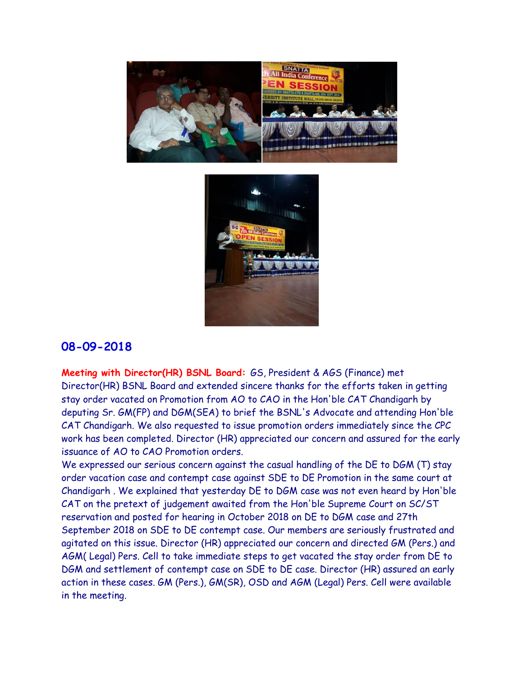



**Meeting with Director(HR) BSNL Board:** GS, President & AGS (Finance) met Director(HR) BSNL Board and extended sincere thanks for the efforts taken in getting stay order vacated on Promotion from AO to CAO in the Hon'ble CAT Chandigarh by deputing Sr. GM(FP) and DGM(SEA) to brief the BSNL's Advocate and attending Hon'ble CAT Chandigarh. We also requested to issue promotion orders immediately since the CPC work has been completed. Director (HR) appreciated our concern and assured for the early issuance of AO to CAO Promotion orders.

We expressed our serious concern against the casual handling of the DE to DGM (T) stay order vacation case and contempt case against SDE to DE Promotion in the same court at Chandigarh . We explained that yesterday DE to DGM case was not even heard by Hon'ble CAT on the pretext of judgement awaited from the Hon'ble Supreme Court on SC/ST reservation and posted for hearing in October 2018 on DE to DGM case and 27th September 2018 on SDE to DE contempt case. Our members are seriously frustrated and agitated on this issue. Director (HR) appreciated our concern and directed GM (Pers.) and AGM( Legal) Pers. Cell to take immediate steps to get vacated the stay order from DE to DGM and settlement of contempt case on SDE to DE case. Director (HR) assured an early action in these cases. GM (Pers.), GM(SR), OSD and AGM (Legal) Pers. Cell were available in the meeting.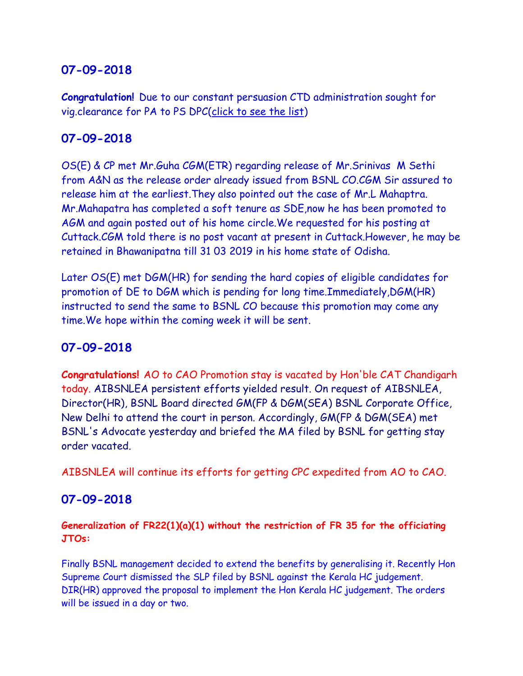**Congratulation!** Due to our constant persuasion CTD administration sought for vig.clearance for PA to PS DPC[\(click to see the list\)](http://aibsnleawb.org/PS%20promotion.pdf)

# **07-09-2018**

OS(E) & CP met Mr.Guha CGM(ETR) regarding release of Mr.Srinivas M Sethi from A&N as the release order already issued from BSNL CO.CGM Sir assured to release him at the earliest.They also pointed out the case of Mr.L Mahaptra. Mr.Mahapatra has completed a soft tenure as SDE,now he has been promoted to AGM and again posted out of his home circle.We requested for his posting at Cuttack.CGM told there is no post vacant at present in Cuttack.However, he may be retained in Bhawanipatna till 31 03 2019 in his home state of Odisha.

Later OS(E) met DGM(HR) for sending the hard copies of eligible candidates for promotion of DE to DGM which is pending for long time.Immediately,DGM(HR) instructed to send the same to BSNL CO because this promotion may come any time.We hope within the coming week it will be sent.

# **07-09-2018**

**Congratulations!** AO to CAO Promotion stay is vacated by Hon'ble CAT Chandigarh today. AIBSNLEA persistent efforts yielded result. On request of AIBSNLEA, Director(HR), BSNL Board directed GM(FP & DGM(SEA) BSNL Corporate Office, New Delhi to attend the court in person. Accordingly, GM(FP & DGM(SEA) met BSNL's Advocate yesterday and briefed the MA filed by BSNL for getting stay order vacated.

AIBSNLEA will continue its efforts for getting CPC expedited from AO to CAO.

# **07-09-2018**

**Generalization of FR22(1)(a)(1) without the restriction of FR 35 for the officiating JTOs:**

Finally BSNL management decided to extend the benefits by generalising it. Recently Hon Supreme Court dismissed the SLP filed by BSNL against the Kerala HC judgement. DIR(HR) approved the proposal to implement the Hon Kerala HC judgement. The orders will be issued in a day or two.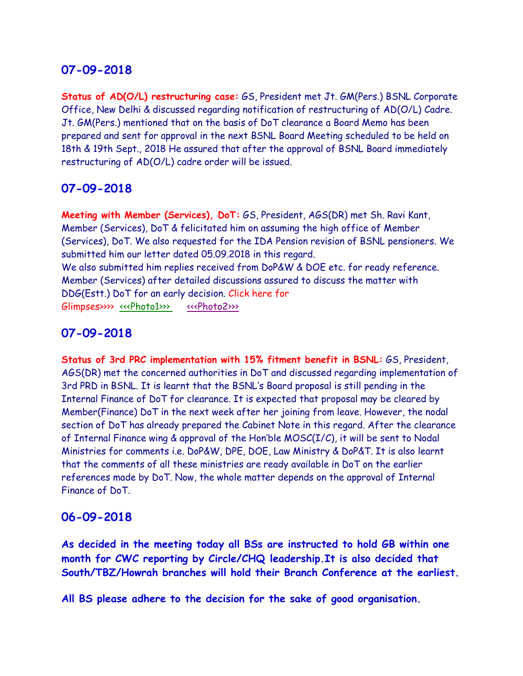**Status of AD(O/L) restructuring case:** GS, President met Jt. GM(Pers.) BSNL Corporate Office, New Delhi & discussed regarding notification of restructuring of AD(O/L) Cadre. Jt. GM(Pers.) mentioned that on the basis of DoT clearance a Board Memo has been prepared and sent for approval in the next BSNL Board Meeting scheduled to be held on 18th & 19th Sept., 2018 He assured that after the approval of BSNL Board immediately restructuring of AD(O/L) cadre order will be issued.

#### **07-09-2018**

**Meeting with Member (Services), DoT:** GS, President, AGS(DR) met Sh. Ravi Kant, Member (Services), DoT & felicitated him on assuming the high office of Member (Services), DoT. We also requested for the IDA Pension revision of BSNL pensioners. We submitted him our letter dated 05.09.2018 in this regard. We also submitted him replies received from DoP&W & DOE etc. for ready reference. Member (Services) after detailed discussions assured to discuss the matter with DDG(Estt.) DoT for an early decision. Click here for Glimpses>>>> [<<<Photo1>>>](http://www.aibsnleachq.in/33cf3314-9e64-4677-a0fa-e9a62de9912b.jpg) [<<<Photo2>>>](http://www.aibsnleachq.in/848c02a1-a603-45f0-b003-d51d710657b8.jpg) 

# **07-09-2018**

**Status of 3rd PRC implementation with 15% fitment benefit in BSNL:** GS, President, AGS(DR) met the concerned authorities in DoT and discussed regarding implementation of 3rd PRD in BSNL. It is learnt that the BSNL's Board proposal is still pending in the Internal Finance of DoT for clearance. It is expected that proposal may be cleared by Member(Finance) DoT in the next week after her joining from leave. However, the nodal section of DoT has already prepared the Cabinet Note in this regard. After the clearance of Internal Finance wing & approval of the Hon'ble MOSC(I/C), it will be sent to Nodal Ministries for comments i.e. DoP&W, DPE, DOE, Law Ministry & DoP&T. It is also learnt that the comments of all these ministries are ready available in DoT on the earlier references made by DoT. Now, the whole matter depends on the approval of Internal Finance of DoT.

#### **06-09-2018**

**As decided in the meeting today all BSs are instructed to hold GB within one month for CWC reporting by Circle/CHQ leadership.It is also decided that South/TBZ/Howrah branches will hold their Branch Conference at the earliest.**

**All BS please adhere to the decision for the sake of good organisation.**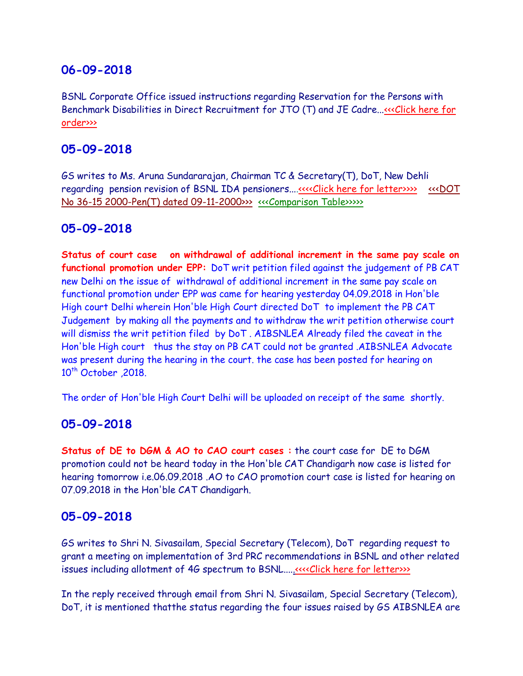BSNL Corporate Office issued instructions regarding Reservation for the Persons with Benchmark Disabilities in Direct Recruitment for JTO (T) and JE Cadre..[.<<<Click here for](http://www.aibsnleachq.in/category0001.pdf)  [order>>>](http://www.aibsnleachq.in/category0001.pdf)

### **05-09-2018**

GS writes to Ms. Aruna Sundararajan, Chairman TC & Secretary(T), DoT, New Dehli regarding pension revision of BSNL IDA pensioners...[.<<<<Click here for letter>>>>](http://www.aibsnleachq.in/DOT_180905.PDF) [<<<DOT](http://www.aibsnleachq.in/DOT%20No%2036-15%202000-Pen(T)%20dated%2009-11-2000.pdf)  [No 36-15 2000-Pen\(T\) dated 09-11-2000>>>](http://www.aibsnleachq.in/DOT%20No%2036-15%202000-Pen(T)%20dated%2009-11-2000.pdf) [<<<Comparison Table>>>>>](http://www.aibsnleachq.in/comparative%20table.pdf)

### **05-09-2018**

**Status of court case on withdrawal of additional increment in the same pay scale on functional promotion under EPP:** DoT writ petition filed against the judgement of PB CAT new Delhi on the issue of withdrawal of additional increment in the same pay scale on functional promotion under EPP was came for hearing yesterday 04.09.2018 in Hon'ble High court Delhi wherein Hon'ble High Court directed DoT to implement the PB CAT Judgement by making all the payments and to withdraw the writ petition otherwise court will dismiss the writ petition filed by DoT . AIBSNLEA Already filed the caveat in the Hon'ble High court thus the stay on PB CAT could not be granted .AIBSNLEA Advocate was present during the hearing in the court. the case has been posted for hearing on 10<sup>th</sup> October 2018.

The order of Hon'ble High Court Delhi will be uploaded on receipt of the same shortly.

# **05-09-2018**

**Status of DE to DGM & AO to CAO court cases :** the court case for DE to DGM promotion could not be heard today in the Hon'ble CAT Chandigarh now case is listed for hearing tomorrow i.e.06.09.2018 .AO to CAO promotion court case is listed for hearing on 07.09.2018 in the Hon'ble CAT Chandigarh.

#### **05-09-2018**

GS writes to Shri N. Sivasailam, Special Secretary (Telecom), DoT regarding request to grant a meeting on implementation of 3rd PRC recommendations in BSNL and other related issues including allotment of 4G spectrum to BSNL...[..<<<<Click here for letter>>>](http://www.aibsnleachq.in/N.%20Sivasalam_180828.PDF)>

In the reply received through email from Shri N. Sivasailam, Special Secretary (Telecom), DoT, it is mentioned thatthe status regarding the four issues raised by GS AIBSNLEA are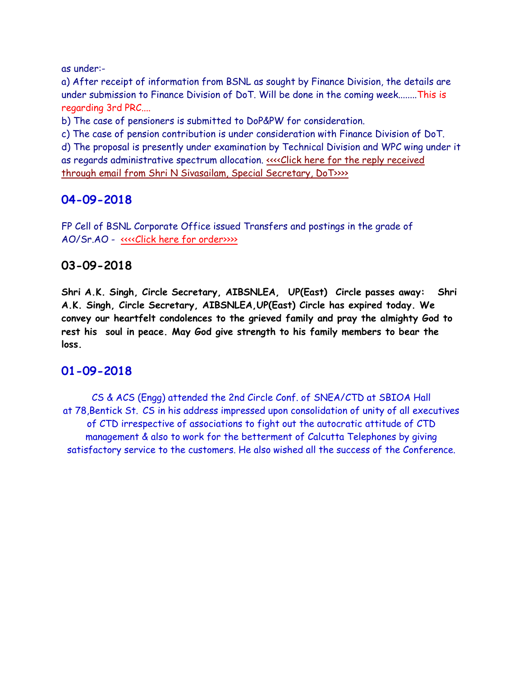as under:-

a) After receipt of information from BSNL as sought by Finance Division, the details are under submission to Finance Division of DoT. Will be done in the coming week........This is regarding 3rd PRC....

b) The case of pensioners is submitted to DoP&PW for consideration.

c) The case of pension contribution is under consideration with Finance Division of DoT.

d) The proposal is presently under examination by Technical Division and WPC wing under it as regards administrative spectrum allocation. [<<<<Click here for the reply received](http://www.aibsnleachq.in/reply_050920181.pdf)  [through email from Shri N Sivasailam, Special Secretary, DoT>>>>](http://www.aibsnleachq.in/reply_050920181.pdf)

# **04-09-2018**

FP Cell of BSNL Corporate Office issued Transfers and postings in the grade of AO/Sr.AO - [<<<<Click here for order>>>>](http://www.aibsnleachq.in/order04.09.2018.pdf)

# **03-09-2018**

**Shri A.K. Singh, Circle Secretary, AIBSNLEA, UP(East) Circle passes away: Shri A.K. Singh, Circle Secretary, AIBSNLEA,UP(East) Circle has expired today. We convey our heartfelt condolences to the grieved family and pray the almighty God to rest his soul in peace. May God give strength to his family members to bear the loss.** 

# **01-09-2018**

CS & ACS (Engg) attended the 2nd Circle Conf. of SNEA/CTD at SBIOA Hall at 78,Bentick St. CS in his address impressed upon consolidation of unity of all executives of CTD irrespective of associations to fight out the autocratic attitude of CTD management & also to work for the betterment of Calcutta Telephones by giving satisfactory service to the customers. He also wished all the success of the Conference.